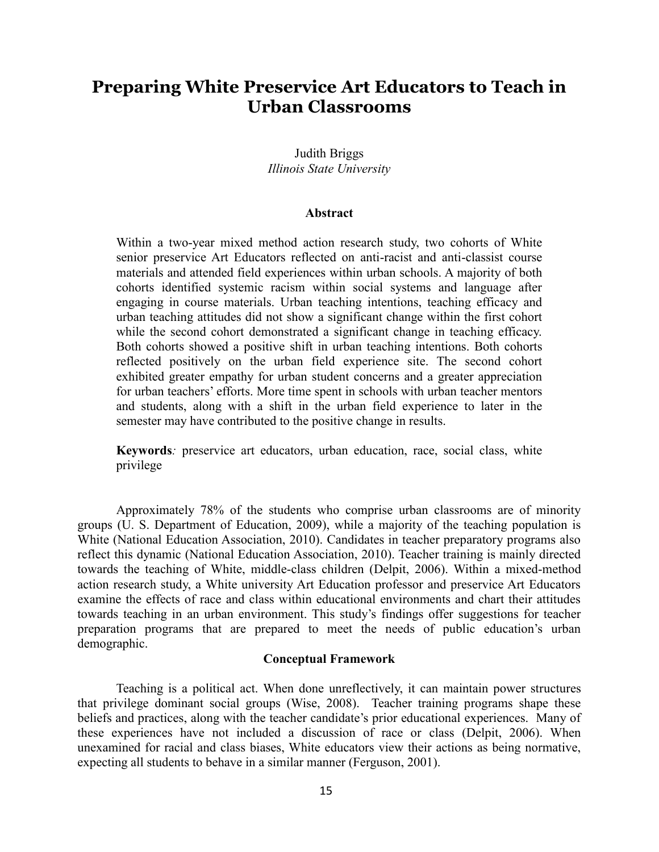# **Preparing White Preservice Art Educators to Teach in Urban Classrooms**

# Judith Briggs *Illinois State University*

## **Abstract**

Within a two-year mixed method action research study, two cohorts of White senior preservice Art Educators reflected on anti-racist and anti-classist course materials and attended field experiences within urban schools. A majority of both cohorts identified systemic racism within social systems and language after engaging in course materials. Urban teaching intentions, teaching efficacy and urban teaching attitudes did not show a significant change within the first cohort while the second cohort demonstrated a significant change in teaching efficacy. Both cohorts showed a positive shift in urban teaching intentions. Both cohorts reflected positively on the urban field experience site. The second cohort exhibited greater empathy for urban student concerns and a greater appreciation for urban teachers' efforts. More time spent in schools with urban teacher mentors and students, along with a shift in the urban field experience to later in the semester may have contributed to the positive change in results.

**Keywords***:* preservice art educators, urban education, race, social class, white privilege

Approximately 78% of the students who comprise urban classrooms are of minority groups (U. S. Department of Education, 2009), while a majority of the teaching population is White (National Education Association, 2010). Candidates in teacher preparatory programs also reflect this dynamic (National Education Association, 2010). Teacher training is mainly directed towards the teaching of White, middle-class children (Delpit, 2006). Within a mixed-method action research study, a White university Art Education professor and preservice Art Educators examine the effects of race and class within educational environments and chart their attitudes towards teaching in an urban environment. This study's findings offer suggestions for teacher preparation programs that are prepared to meet the needs of public education's urban demographic.

# **Conceptual Framework**

Teaching is a political act. When done unreflectively, it can maintain power structures that privilege dominant social groups (Wise, 2008). Teacher training programs shape these beliefs and practices, along with the teacher candidate's prior educational experiences. Many of these experiences have not included a discussion of race or class (Delpit, 2006). When unexamined for racial and class biases, White educators view their actions as being normative, expecting all students to behave in a similar manner (Ferguson, 2001).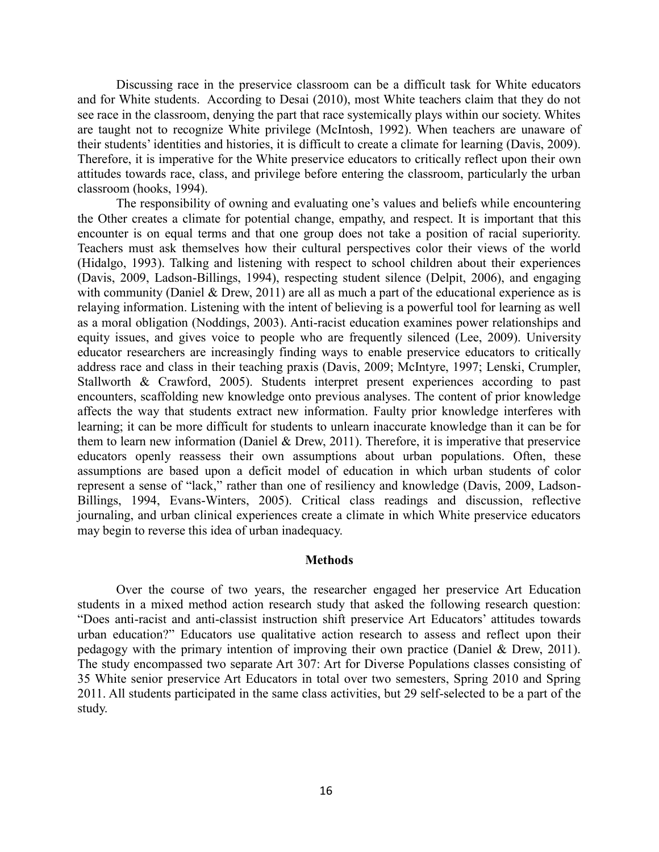Discussing race in the preservice classroom can be a difficult task for White educators and for White students. According to Desai (2010), most White teachers claim that they do not see race in the classroom, denying the part that race systemically plays within our society. Whites are taught not to recognize White privilege (McIntosh, 1992). When teachers are unaware of their students' identities and histories, it is difficult to create a climate for learning (Davis, 2009). Therefore, it is imperative for the White preservice educators to critically reflect upon their own attitudes towards race, class, and privilege before entering the classroom, particularly the urban classroom (hooks, 1994).

The responsibility of owning and evaluating one's values and beliefs while encountering the Other creates a climate for potential change, empathy, and respect. It is important that this encounter is on equal terms and that one group does not take a position of racial superiority. Teachers must ask themselves how their cultural perspectives color their views of the world (Hidalgo, 1993). Talking and listening with respect to school children about their experiences (Davis, 2009, Ladson-Billings, 1994), respecting student silence (Delpit, 2006), and engaging with community (Daniel & Drew, 2011) are all as much a part of the educational experience as is relaying information. Listening with the intent of believing is a powerful tool for learning as well as a moral obligation (Noddings, 2003). Anti-racist education examines power relationships and equity issues, and gives voice to people who are frequently silenced (Lee, 2009). University educator researchers are increasingly finding ways to enable preservice educators to critically address race and class in their teaching praxis (Davis, 2009; McIntyre, 1997; Lenski, Crumpler, Stallworth & Crawford, 2005). Students interpret present experiences according to past encounters, scaffolding new knowledge onto previous analyses. The content of prior knowledge affects the way that students extract new information. Faulty prior knowledge interferes with learning; it can be more difficult for students to unlearn inaccurate knowledge than it can be for them to learn new information (Daniel & Drew, 2011). Therefore, it is imperative that preservice educators openly reassess their own assumptions about urban populations. Often, these assumptions are based upon a deficit model of education in which urban students of color represent a sense of "lack," rather than one of resiliency and knowledge (Davis, 2009, Ladson-Billings, 1994, Evans-Winters, 2005). Critical class readings and discussion, reflective journaling, and urban clinical experiences create a climate in which White preservice educators may begin to reverse this idea of urban inadequacy.

#### **Methods**

Over the course of two years, the researcher engaged her preservice Art Education students in a mixed method action research study that asked the following research question: "Does anti-racist and anti-classist instruction shift preservice Art Educators' attitudes towards urban education?" Educators use qualitative action research to assess and reflect upon their pedagogy with the primary intention of improving their own practice (Daniel & Drew, 2011). The study encompassed two separate Art 307: Art for Diverse Populations classes consisting of 35 White senior preservice Art Educators in total over two semesters, Spring 2010 and Spring 2011. All students participated in the same class activities, but 29 self-selected to be a part of the study.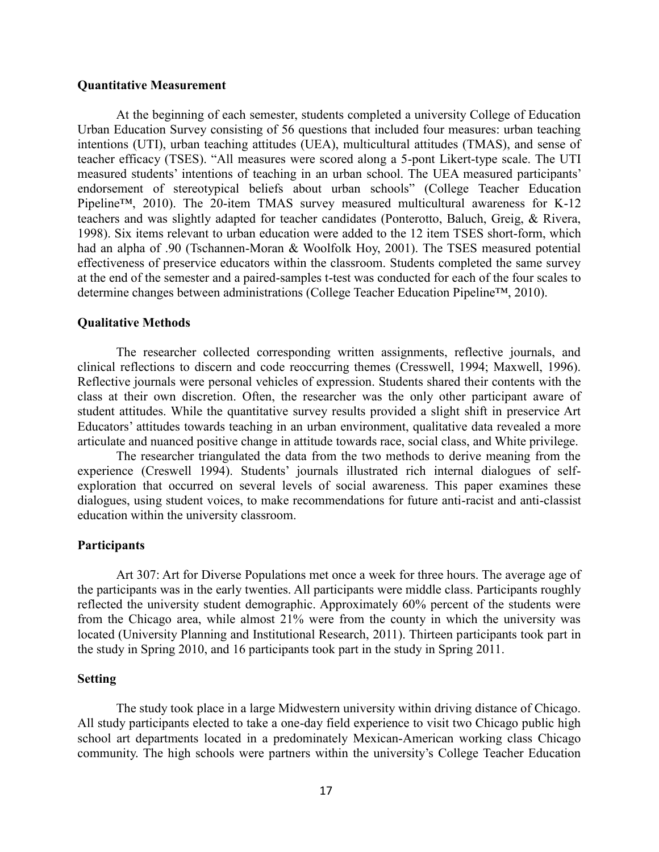#### **Quantitative Measurement**

At the beginning of each semester, students completed a university College of Education Urban Education Survey consisting of 56 questions that included four measures: urban teaching intentions (UTI), urban teaching attitudes (UEA), multicultural attitudes (TMAS), and sense of teacher efficacy (TSES). "All measures were scored along a 5-pont Likert-type scale. The UTI measured students' intentions of teaching in an urban school. The UEA measured participants' endorsement of stereotypical beliefs about urban schools" (College Teacher Education Pipeline™, 2010). The 20-item TMAS survey measured multicultural awareness for K-12 teachers and was slightly adapted for teacher candidates (Ponterotto, Baluch, Greig, & Rivera, 1998). Six items relevant to urban education were added to the 12 item TSES short-form, which had an alpha of .90 (Tschannen-Moran & Woolfolk Hoy, 2001). The TSES measured potential effectiveness of preservice educators within the classroom. Students completed the same survey at the end of the semester and a paired-samples t-test was conducted for each of the four scales to determine changes between administrations (College Teacher Education Pipeline™, 2010).

#### **Qualitative Methods**

The researcher collected corresponding written assignments, reflective journals, and clinical reflections to discern and code reoccurring themes (Cresswell, 1994; Maxwell, 1996). Reflective journals were personal vehicles of expression. Students shared their contents with the class at their own discretion. Often, the researcher was the only other participant aware of student attitudes. While the quantitative survey results provided a slight shift in preservice Art Educators' attitudes towards teaching in an urban environment, qualitative data revealed a more articulate and nuanced positive change in attitude towards race, social class, and White privilege.

The researcher triangulated the data from the two methods to derive meaning from the experience (Creswell 1994). Students' journals illustrated rich internal dialogues of selfexploration that occurred on several levels of social awareness. This paper examines these dialogues, using student voices, to make recommendations for future anti-racist and anti-classist education within the university classroom.

#### **Participants**

Art 307: Art for Diverse Populations met once a week for three hours. The average age of the participants was in the early twenties. All participants were middle class. Participants roughly reflected the university student demographic. Approximately 60% percent of the students were from the Chicago area, while almost 21% were from the county in which the university was located (University Planning and Institutional Research, 2011). Thirteen participants took part in the study in Spring 2010, and 16 participants took part in the study in Spring 2011.

# **Setting**

The study took place in a large Midwestern university within driving distance of Chicago. All study participants elected to take a one-day field experience to visit two Chicago public high school art departments located in a predominately Mexican-American working class Chicago community. The high schools were partners within the university's College Teacher Education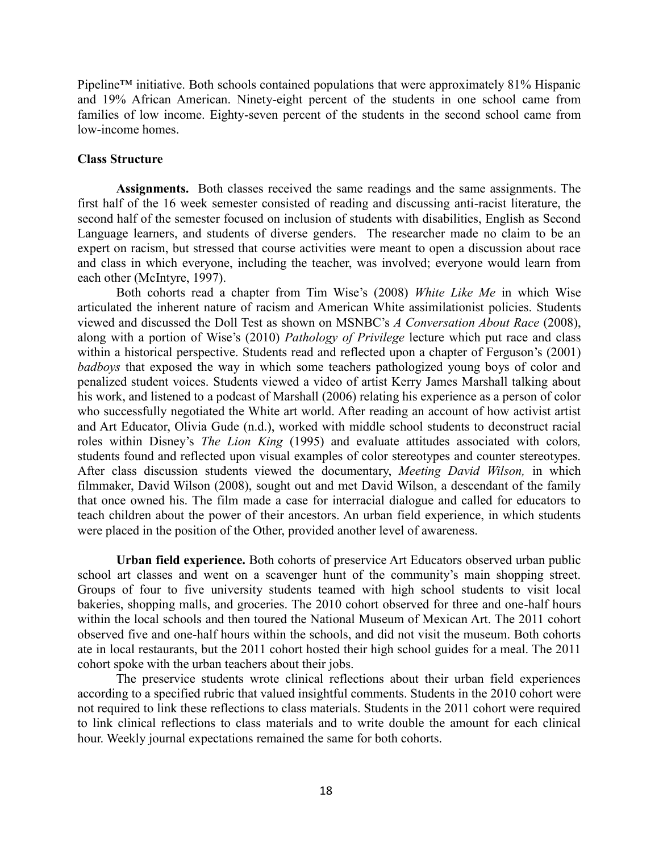Pipeline<sup>™</sup> initiative. Both schools contained populations that were approximately 81% Hispanic and 19% African American. Ninety-eight percent of the students in one school came from families of low income. Eighty-seven percent of the students in the second school came from low-income homes.

# **Class Structure**

**Assignments.** Both classes received the same readings and the same assignments. The first half of the 16 week semester consisted of reading and discussing anti-racist literature, the second half of the semester focused on inclusion of students with disabilities, English as Second Language learners, and students of diverse genders. The researcher made no claim to be an expert on racism, but stressed that course activities were meant to open a discussion about race and class in which everyone, including the teacher, was involved; everyone would learn from each other (McIntyre, 1997).

Both cohorts read a chapter from Tim Wise's (2008) *White Like Me* in which Wise articulated the inherent nature of racism and American White assimilationist policies. Students viewed and discussed the Doll Test as shown on MSNBC's *A Conversation About Race* (2008), along with a portion of Wise's (2010) *Pathology of Privilege* lecture which put race and class within a historical perspective. Students read and reflected upon a chapter of Ferguson's (2001) *badboys* that exposed the way in which some teachers pathologized young boys of color and penalized student voices. Students viewed a video of artist Kerry James Marshall talking about his work, and listened to a podcast of Marshall (2006) relating his experience as a person of color who successfully negotiated the White art world. After reading an account of how activist artist and Art Educator, Olivia Gude (n.d.), worked with middle school students to deconstruct racial roles within Disney's *The Lion King* (1995) and evaluate attitudes associated with colors*,* students found and reflected upon visual examples of color stereotypes and counter stereotypes. After class discussion students viewed the documentary, *Meeting David Wilson,* in which filmmaker, David Wilson (2008), sought out and met David Wilson, a descendant of the family that once owned his. The film made a case for interracial dialogue and called for educators to teach children about the power of their ancestors. An urban field experience, in which students were placed in the position of the Other, provided another level of awareness.

**Urban field experience.** Both cohorts of preservice Art Educators observed urban public school art classes and went on a scavenger hunt of the community's main shopping street. Groups of four to five university students teamed with high school students to visit local bakeries, shopping malls, and groceries. The 2010 cohort observed for three and one-half hours within the local schools and then toured the National Museum of Mexican Art. The 2011 cohort observed five and one-half hours within the schools, and did not visit the museum. Both cohorts ate in local restaurants, but the 2011 cohort hosted their high school guides for a meal. The 2011 cohort spoke with the urban teachers about their jobs.

The preservice students wrote clinical reflections about their urban field experiences according to a specified rubric that valued insightful comments. Students in the 2010 cohort were not required to link these reflections to class materials. Students in the 2011 cohort were required to link clinical reflections to class materials and to write double the amount for each clinical hour. Weekly journal expectations remained the same for both cohorts.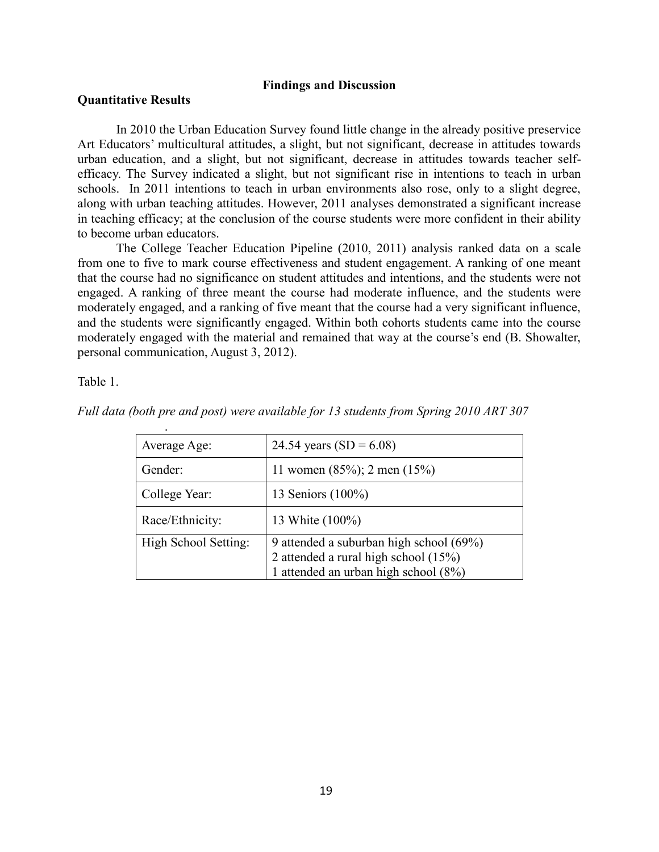# **Findings and Discussion**

## **Quantitative Results**

In 2010 the Urban Education Survey found little change in the already positive preservice Art Educators' multicultural attitudes, a slight, but not significant, decrease in attitudes towards urban education, and a slight, but not significant, decrease in attitudes towards teacher selfefficacy. The Survey indicated a slight, but not significant rise in intentions to teach in urban schools. In 2011 intentions to teach in urban environments also rose, only to a slight degree, along with urban teaching attitudes. However, 2011 analyses demonstrated a significant increase in teaching efficacy; at the conclusion of the course students were more confident in their ability to become urban educators.

The College Teacher Education Pipeline (2010, 2011) analysis ranked data on a scale from one to five to mark course effectiveness and student engagement. A ranking of one meant that the course had no significance on student attitudes and intentions, and the students were not engaged. A ranking of three meant the course had moderate influence, and the students were moderately engaged, and a ranking of five meant that the course had a very significant influence, and the students were significantly engaged. Within both cohorts students came into the course moderately engaged with the material and remained that way at the course's end (B. Showalter, personal communication, August 3, 2012).

Table 1.

| Average Age:         | 24.54 years (SD = $6.08$ )              |
|----------------------|-----------------------------------------|
| Gender:              | 11 women $(85\%)$ ; 2 men $(15\%)$      |
| College Year:        | 13 Seniors (100%)                       |
| Race/Ethnicity:      | 13 White (100%)                         |
| High School Setting: | 9 attended a suburban high school (69%) |
|                      | 2 attended a rural high school (15%)    |
|                      | 1 attended an urban high school $(8\%)$ |

*Full data (both pre and post) were available for 13 students from Spring 2010 ART 307*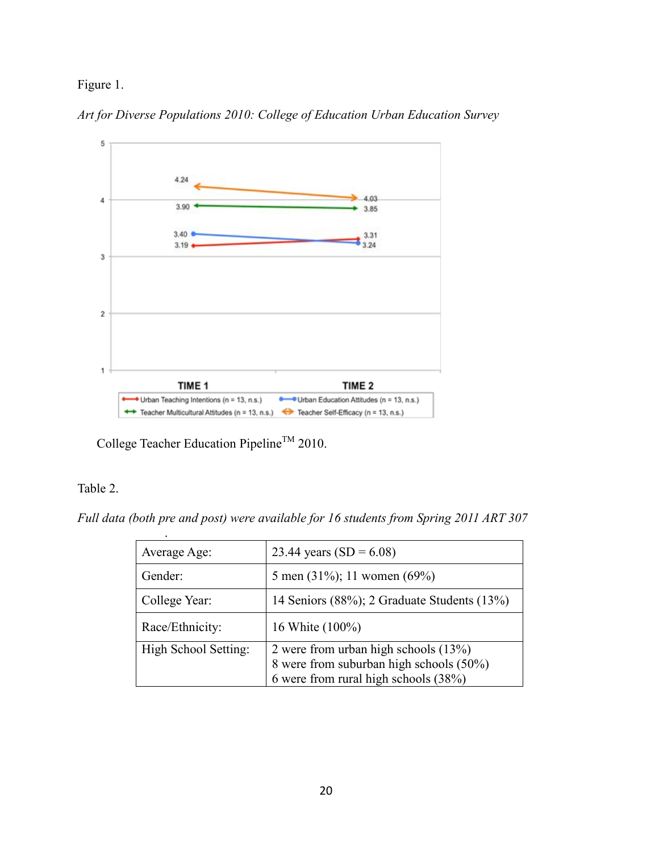# Figure 1.





College Teacher Education Pipeline<sup>TM</sup> 2010.

# Table 2.

*Full data (both pre and post) were available for 16 students from Spring 2011 ART 307*

| Average Age:         | 23.44 years (SD = $6.08$ )                  |
|----------------------|---------------------------------------------|
| Gender:              | 5 men $(31\%)$ ; 11 women $(69\%)$          |
| College Year:        | 14 Seniors (88%); 2 Graduate Students (13%) |
| Race/Ethnicity:      | 16 White (100%)                             |
| High School Setting: | 2 were from urban high schools $(13%)$      |
|                      | 8 were from suburban high schools (50%)     |
|                      | 6 were from rural high schools (38%)        |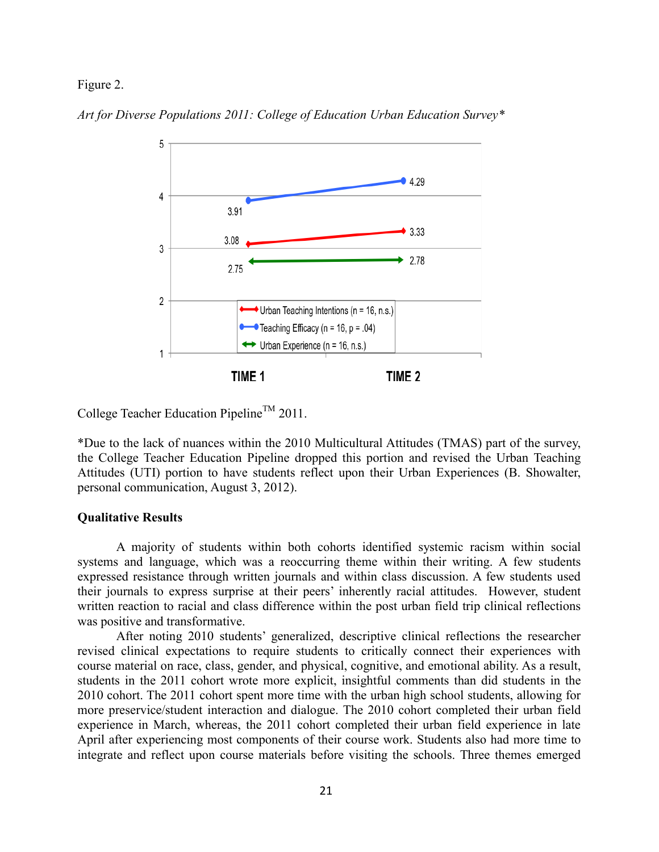## Figure 2.



*Art for Diverse Populations 2011: College of Education Urban Education Survey\**

College Teacher Education Pipeline<sup>TM</sup> 2011.

\*Due to the lack of nuances within the 2010 Multicultural Attitudes (TMAS) part of the survey, the College Teacher Education Pipeline dropped this portion and revised the Urban Teaching Attitudes (UTI) portion to have students reflect upon their Urban Experiences (B. Showalter, personal communication, August 3, 2012).

# **Qualitative Results**

A majority of students within both cohorts identified systemic racism within social systems and language, which was a reoccurring theme within their writing. A few students expressed resistance through written journals and within class discussion. A few students used their journals to express surprise at their peers' inherently racial attitudes. However, student written reaction to racial and class difference within the post urban field trip clinical reflections was positive and transformative.

After noting 2010 students' generalized, descriptive clinical reflections the researcher revised clinical expectations to require students to critically connect their experiences with course material on race, class, gender, and physical, cognitive, and emotional ability. As a result, students in the 2011 cohort wrote more explicit, insightful comments than did students in the 2010 cohort. The 2011 cohort spent more time with the urban high school students, allowing for more preservice/student interaction and dialogue. The 2010 cohort completed their urban field experience in March, whereas, the 2011 cohort completed their urban field experience in late April after experiencing most components of their course work. Students also had more time to integrate and reflect upon course materials before visiting the schools. Three themes emerged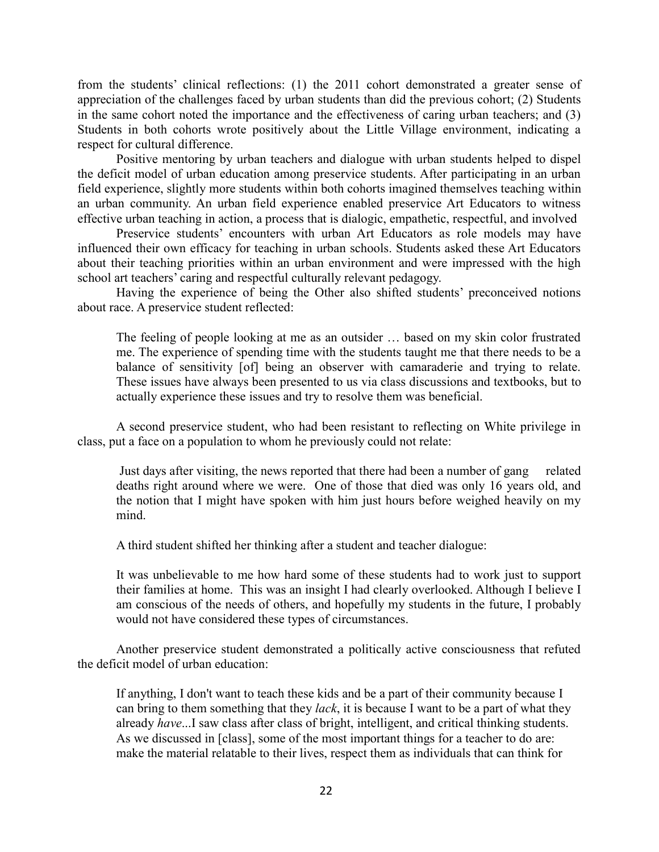from the students' clinical reflections: (1) the 2011 cohort demonstrated a greater sense of appreciation of the challenges faced by urban students than did the previous cohort; (2) Students in the same cohort noted the importance and the effectiveness of caring urban teachers; and (3) Students in both cohorts wrote positively about the Little Village environment, indicating a respect for cultural difference.

Positive mentoring by urban teachers and dialogue with urban students helped to dispel the deficit model of urban education among preservice students. After participating in an urban field experience, slightly more students within both cohorts imagined themselves teaching within an urban community. An urban field experience enabled preservice Art Educators to witness effective urban teaching in action, a process that is dialogic, empathetic, respectful, and involved

Preservice students' encounters with urban Art Educators as role models may have influenced their own efficacy for teaching in urban schools. Students asked these Art Educators about their teaching priorities within an urban environment and were impressed with the high school art teachers' caring and respectful culturally relevant pedagogy.

Having the experience of being the Other also shifted students' preconceived notions about race. A preservice student reflected:

The feeling of people looking at me as an outsider … based on my skin color frustrated me. The experience of spending time with the students taught me that there needs to be a balance of sensitivity [of] being an observer with camaraderie and trying to relate. These issues have always been presented to us via class discussions and textbooks, but to actually experience these issues and try to resolve them was beneficial.

A second preservice student, who had been resistant to reflecting on White privilege in class, put a face on a population to whom he previously could not relate:

Just days after visiting, the news reported that there had been a number of gang related deaths right around where we were. One of those that died was only 16 years old, and the notion that I might have spoken with him just hours before weighed heavily on my mind.

A third student shifted her thinking after a student and teacher dialogue:

It was unbelievable to me how hard some of these students had to work just to support their families at home. This was an insight I had clearly overlooked. Although I believe I am conscious of the needs of others, and hopefully my students in the future, I probably would not have considered these types of circumstances.

Another preservice student demonstrated a politically active consciousness that refuted the deficit model of urban education:

If anything, I don't want to teach these kids and be a part of their community because I can bring to them something that they *lack*, it is because I want to be a part of what they already *have*...I saw class after class of bright, intelligent, and critical thinking students. As we discussed in [class], some of the most important things for a teacher to do are: make the material relatable to their lives, respect them as individuals that can think for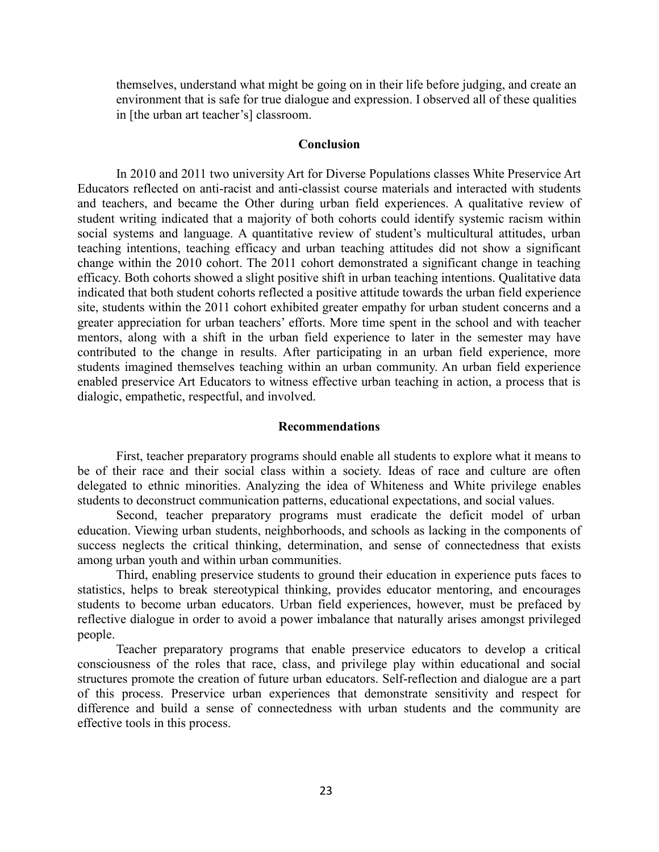themselves, understand what might be going on in their life before judging, and create an environment that is safe for true dialogue and expression. I observed all of these qualities in [the urban art teacher's] classroom.

## **Conclusion**

In 2010 and 2011 two university Art for Diverse Populations classes White Preservice Art Educators reflected on anti-racist and anti-classist course materials and interacted with students and teachers, and became the Other during urban field experiences. A qualitative review of student writing indicated that a majority of both cohorts could identify systemic racism within social systems and language. A quantitative review of student's multicultural attitudes, urban teaching intentions, teaching efficacy and urban teaching attitudes did not show a significant change within the 2010 cohort. The 2011 cohort demonstrated a significant change in teaching efficacy. Both cohorts showed a slight positive shift in urban teaching intentions. Qualitative data indicated that both student cohorts reflected a positive attitude towards the urban field experience site, students within the 2011 cohort exhibited greater empathy for urban student concerns and a greater appreciation for urban teachers' efforts. More time spent in the school and with teacher mentors, along with a shift in the urban field experience to later in the semester may have contributed to the change in results. After participating in an urban field experience, more students imagined themselves teaching within an urban community. An urban field experience enabled preservice Art Educators to witness effective urban teaching in action, a process that is dialogic, empathetic, respectful, and involved.

#### **Recommendations**

First, teacher preparatory programs should enable all students to explore what it means to be of their race and their social class within a society. Ideas of race and culture are often delegated to ethnic minorities. Analyzing the idea of Whiteness and White privilege enables students to deconstruct communication patterns, educational expectations, and social values.

Second, teacher preparatory programs must eradicate the deficit model of urban education. Viewing urban students, neighborhoods, and schools as lacking in the components of success neglects the critical thinking, determination, and sense of connectedness that exists among urban youth and within urban communities.

Third, enabling preservice students to ground their education in experience puts faces to statistics, helps to break stereotypical thinking, provides educator mentoring, and encourages students to become urban educators. Urban field experiences, however, must be prefaced by reflective dialogue in order to avoid a power imbalance that naturally arises amongst privileged people.

Teacher preparatory programs that enable preservice educators to develop a critical consciousness of the roles that race, class, and privilege play within educational and social structures promote the creation of future urban educators. Self-reflection and dialogue are a part of this process. Preservice urban experiences that demonstrate sensitivity and respect for difference and build a sense of connectedness with urban students and the community are effective tools in this process.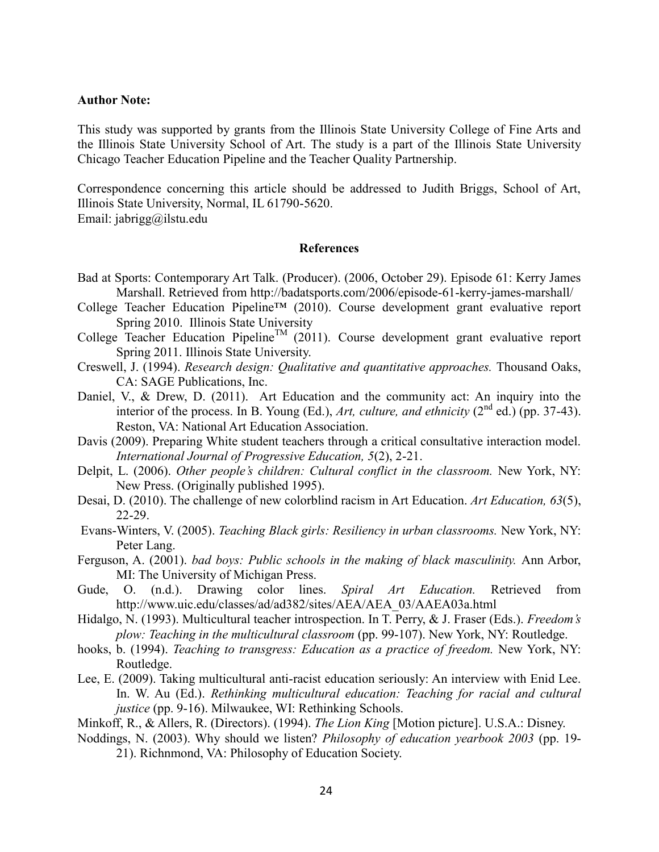## **Author Note:**

This study was supported by grants from the Illinois State University College of Fine Arts and the Illinois State University School of Art. The study is a part of the Illinois State University Chicago Teacher Education Pipeline and the Teacher Quality Partnership.

Correspondence concerning this article should be addressed to Judith Briggs, School of Art, Illinois State University, Normal, IL 61790-5620.

Email: jabrigg@ilstu.edu

# **References**

- Bad at Sports: Contemporary Art Talk. (Producer). (2006, October 29). Episode 61: Kerry James Marshall. Retrieved from http://badatsports.com/2006/episode-61-kerry-james-marshall/
- College Teacher Education Pipeline™ (2010). Course development grant evaluative report Spring 2010. Illinois State University
- College Teacher Education Pipeline<sup>TM</sup> (2011). Course development grant evaluative report Spring 2011. Illinois State University.
- Creswell, J. (1994). *Research design: Qualitative and quantitative approaches.* Thousand Oaks, CA: SAGE Publications, Inc.
- Daniel, V., & Drew, D. (2011). Art Education and the community act: An inquiry into the interior of the process. In B. Young (Ed.), *Art, culture, and ethnicity* (2<sup>nd</sup> ed.) (pp. 37-43). Reston, VA: National Art Education Association.
- Davis (2009). Preparing White student teachers through a critical consultative interaction model. *International Journal of Progressive Education, 5*(2), 2-21.
- Delpit, L. (2006). *Other people's children: Cultural conflict in the classroom.* New York, NY: New Press. (Originally published 1995).
- Desai, D. (2010). The challenge of new colorblind racism in Art Education. *Art Education, 63*(5), 22-29.
- Evans-Winters, V. (2005). *Teaching Black girls: Resiliency in urban classrooms.* New York, NY: Peter Lang.
- Ferguson, A. (2001). *bad boys: Public schools in the making of black masculinity.* Ann Arbor, MI: The University of Michigan Press.
- Gude, O. (n.d.). Drawing color lines. *Spiral Art Education.* Retrieved from http://www.uic.edu/classes/ad/ad382/sites/AEA/AEA\_03/AAEA03a.html
- Hidalgo, N. (1993). Multicultural teacher introspection. In T. Perry, & J. Fraser (Eds.). *Freedom's plow: Teaching in the multicultural classroom* (pp. 99-107). New York, NY: Routledge.
- hooks, b. (1994). *Teaching to transgress: Education as a practice of freedom.* New York, NY: Routledge.
- Lee, E. (2009). Taking multicultural anti-racist education seriously: An interview with Enid Lee. In. W. Au (Ed.). *Rethinking multicultural education: Teaching for racial and cultural justice* (pp. 9-16). Milwaukee, WI: Rethinking Schools.
- Minkoff, R., & Allers, R. (Directors). (1994). *The Lion King* [Motion picture]. U.S.A.: Disney.
- Noddings, N. (2003). Why should we listen? *Philosophy of education yearbook 2003* (pp. 19- 21). Richnmond, VA: Philosophy of Education Society.